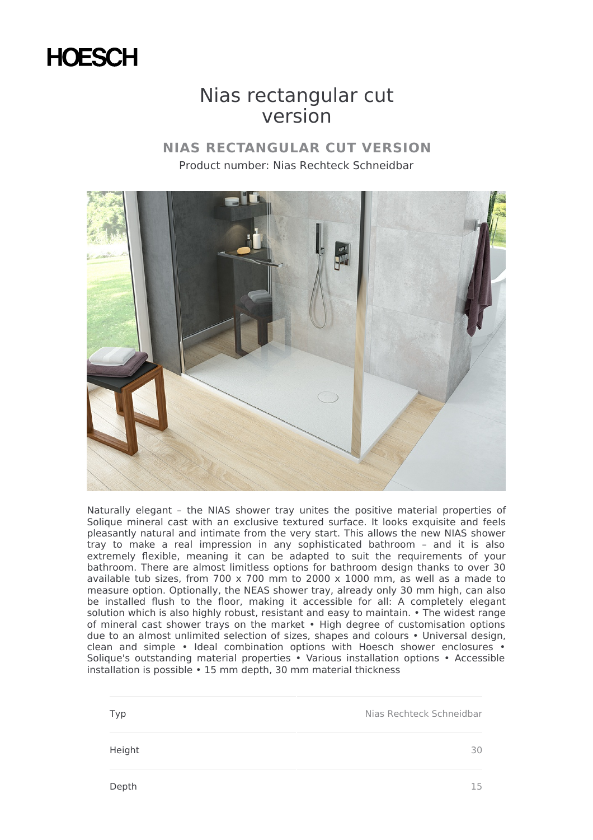

## Nias rectangular cut version

## **NIAS RECTANGULAR CUT VERSION** Product number: Nias Rechteck Schneidbar



Naturally elegant – the NIAS shower tray unites the positive material properties of Solique mineral cast with an exclusive textured surface. It looks exquisite and feels pleasantly natural and intimate from the very start. This allows the new NIAS shower tray to make a real impression in any sophisticated bathroom – and it is also extremely flexible, meaning it can be adapted to suit the requirements of your bathroom. There are almost limitless options for bathroom design thanks to over 30 available tub sizes, from 700 x 700 mm to 2000 x 1000 mm, as well as a made to measure option. Optionally, the NEAS shower tray, already only 30 mm high, can also be installed flush to the floor, making it accessible for all: A completely elegant solution which is also highly robust, resistant and easy to maintain. • The widest range of mineral cast shower trays on the market • High degree of customisation options due to an almost unlimited selection of sizes, shapes and colours • Universal design, clean and simple • Ideal combination options with Hoesch shower enclosures • Solique's outstanding material properties • Various installation options • Accessible installation is possible • 15 mm depth, 30 mm material thickness

Typ **Nias Rechteck Schneidbar** Nias Rechteck Schneidbar Height 30

Depth 15